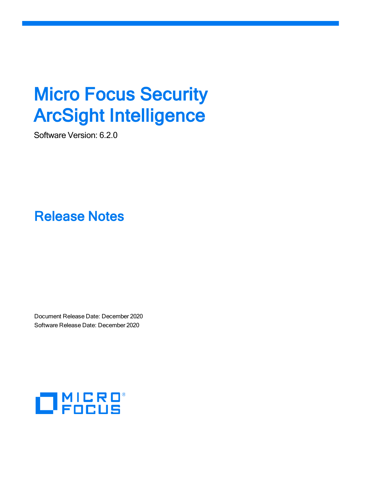# **Micro Focus Security** ArcSight Intelligence

Software Version: 6.2.0

Release Notes

Document Release Date: December 2020 Software Release Date: December 2020

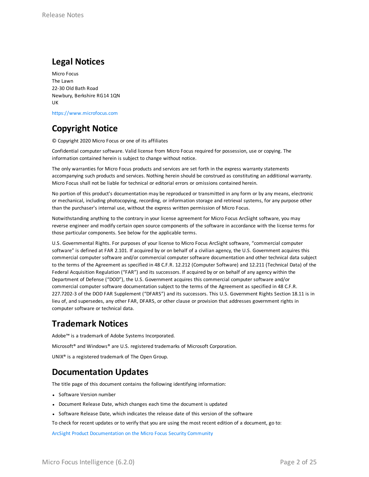#### **Legal Notices**

Micro Focus The Lawn 22-30 Old Bath Road Newbury, Berkshire RG14 1QN UK

[https://www.microfocus.com](https://www.microfocus.com/)

#### **Copyright Notice**

© Copyright 2020 Micro Focus or one of its affiliates

Confidential computer software. Valid license from Micro Focus required for possession, use or copying. The information contained herein is subject to change without notice.

The only warranties for Micro Focus products and services are set forth in the express warranty statements accompanying such products and services. Nothing herein should be construed as constituting an additional warranty. Micro Focus shall not be liable for technical or editorial errors or omissions contained herein.

No portion of this product's documentation may be reproduced or transmitted in any form or by any means, electronic or mechanical, including photocopying, recording, or information storage and retrieval systems, for any purpose other than the purchaser's internal use, without the express written permission of Micro Focus.

Notwithstanding anything to the contrary in your license agreement for Micro Focus ArcSight software, you may reverse engineer and modify certain open source components of the software in accordance with the license terms for those particular components. See below for the applicable terms.

U.S. Governmental Rights. For purposes of your license to Micro Focus ArcSight software, "commercial computer software" is defined at FAR 2.101. If acquired by or on behalf of a civilian agency, the U.S. Government acquires this commercial computer software and/or commercial computer software documentation and other technical data subject to the terms of the Agreement as specified in 48 C.F.R. 12.212 (Computer Software) and 12.211 (Technical Data) of the Federal Acquisition Regulation ("FAR") and its successors. If acquired by or on behalf of any agency within the Department of Defense ("DOD"), the U.S. Government acquires this commercial computer software and/or commercial computer software documentation subject to the terms of the Agreement as specified in 48 C.F.R. 227.7202-3 of the DOD FAR Supplement ("DFARS") and its successors. This U.S. Government Rights Section 18.11 is in lieu of, and supersedes, any other FAR, DFARS, or other clause or provision that addresses government rights in computer software or technical data.

#### **Trademark Notices**

Adobe™ is a trademark of Adobe Systems Incorporated.

Microsoft® and Windows® are U.S. registered trademarks of Microsoft Corporation.

UNIX® is a registered trademark of The Open Group.

#### **Documentation Updates**

The title page of this document contains the following identifying information:

- Software Version number
- Document Release Date, which changes each time the document is updated
- Software Release Date, which indicates the release date of this version of the software

To check for recent updates or to verify that you are using the most recent edition of a document, go to:

ArcSight Product [Documentation](https://community.microfocus.com/t5/ArcSight-Product-Documentation/ct-p/productdocs) on the Micro Focus Security Community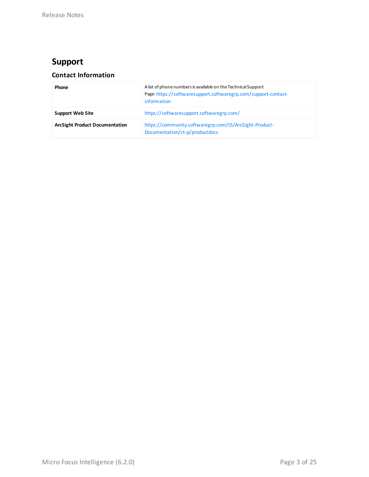#### **Support**

#### **Contact Information**

| Phone                                 | A list of phone numbers is available on the Technical Support<br>Page: https://softwaresupport.softwaregrp.com/support-contact-<br>information |
|---------------------------------------|------------------------------------------------------------------------------------------------------------------------------------------------|
| <b>Support Web Site</b>               | https://softwaresupport.softwaregrp.com/                                                                                                       |
| <b>ArcSight Product Documentation</b> | https://community.softwaregrp.com/t5/ArcSight-Product-<br>Documentation/ct-p/productdocs                                                       |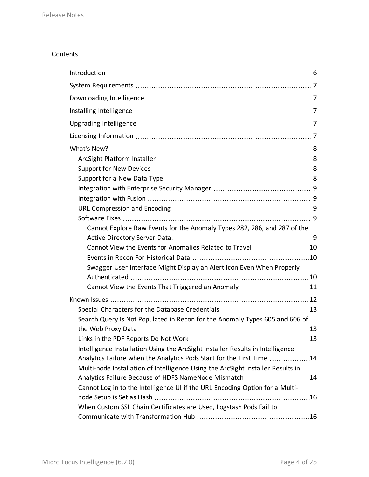#### Contents

| Cannot Explore Raw Events for the Anomaly Types 282, 286, and 287 of the        |  |
|---------------------------------------------------------------------------------|--|
|                                                                                 |  |
| Cannot View the Events for Anomalies Related to Travel 10                       |  |
|                                                                                 |  |
| Swagger User Interface Might Display an Alert Icon Even When Properly           |  |
|                                                                                 |  |
| Cannot View the Events That Triggered an Anomaly  11                            |  |
|                                                                                 |  |
|                                                                                 |  |
| Search Query Is Not Populated in Recon for the Anomaly Types 605 and 606 of     |  |
|                                                                                 |  |
|                                                                                 |  |
| Intelligence Installation Using the ArcSight Installer Results in Intelligence  |  |
| Analytics Failure when the Analytics Pods Start for the First Time 14           |  |
| Multi-node Installation of Intelligence Using the ArcSight Installer Results in |  |
| Analytics Failure Because of HDFS NameNode Mismatch 14                          |  |
| Cannot Log in to the Intelligence UI if the URL Encoding Option for a Multi-    |  |
|                                                                                 |  |
| When Custom SSL Chain Certificates are Used, Logstash Pods Fail to              |  |
|                                                                                 |  |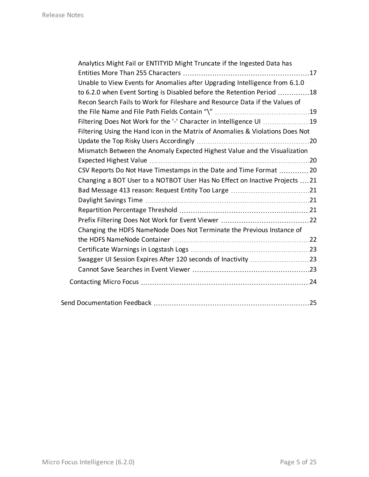| Analytics Might Fail or ENTITYID Might Truncate if the Ingested Data has       |     |
|--------------------------------------------------------------------------------|-----|
|                                                                                |     |
| Unable to View Events for Anomalies after Upgrading Intelligence from 6.1.0    |     |
| to 6.2.0 when Event Sorting is Disabled before the Retention Period 18         |     |
| Recon Search Fails to Work for Fileshare and Resource Data if the Values of    |     |
|                                                                                |     |
| Filtering Does Not Work for the '-' Character in Intelligence UI 19            |     |
| Filtering Using the Hand Icon in the Matrix of Anomalies & Violations Does Not |     |
|                                                                                |     |
| Mismatch Between the Anomaly Expected Highest Value and the Visualization      |     |
|                                                                                |     |
| CSV Reports Do Not Have Timestamps in the Date and Time Format  20             |     |
| Changing a BOT User to a NOTBOT User Has No Effect on Inactive Projects  21    |     |
|                                                                                |     |
|                                                                                |     |
|                                                                                |     |
|                                                                                |     |
| Changing the HDFS NameNode Does Not Terminate the Previous Instance of         |     |
|                                                                                |     |
|                                                                                |     |
|                                                                                |     |
|                                                                                |     |
|                                                                                |     |
|                                                                                | .25 |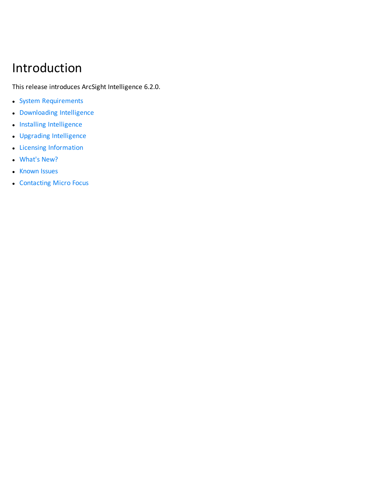## <span id="page-5-0"></span>Introduction

This release introduces ArcSight Intelligence 6.2.0.

- System [Requirements](#page-6-0)
- [Downloading](#page-6-1) Intelligence
- Installing [Intelligence](#page-6-2)
- Upgrading [Intelligence](#page-6-3)
- Licensing [Information](#page-6-4)
- [What's](#page-7-0) New?
- [Known](#page-11-0) Issues
- [Contacting](#page-23-0) Micro Focus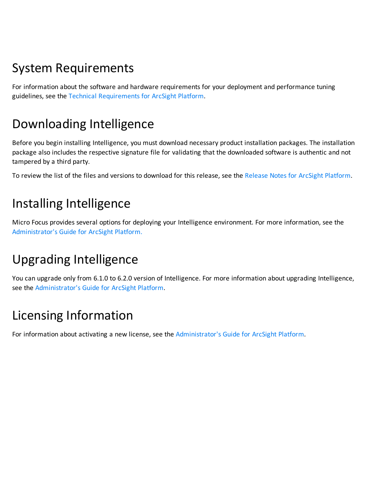## <span id="page-6-0"></span>System Requirements

<span id="page-6-1"></span>For information about the software and hardware requirements for your deployment and performance tuning guidelines, see the Technical [Requirements](https://www.microfocus.com/documentation/arcsight/arcsight-platform-20.11/as_platform_tech_requirements_HTML5/) for ArcSight Platform.

# Downloading Intelligence

Before you begin installing Intelligence, you must download necessary product installation packages. The installation package also includes the respective signature file for validating that the downloaded software is authentic and not tampered by a third party.

<span id="page-6-2"></span>To review the list of the files and versions to download for this release, see the Release Notes for ArcSight [Platform](https://www.microfocus.com/documentation/arcsight/arcsight-platform-20.11/as_platform_releasenotes/as_platform_releasenotes.html).

## Installing Intelligence

<span id="page-6-3"></span>Micro Focus provides several options for deploying your Intelligence environment. For more information, see the [Administrator's](https://www.microfocus.com/documentation/arcsight/arcsight-platform-20.11/as_platform_admin_guide/) Guide for ArcSight Platform.

## Upgrading Intelligence

<span id="page-6-4"></span>You can upgrade only from 6.1.0 to 6.2.0 version of Intelligence. For more information about upgrading Intelligence, see the [Administrator's](https://www.microfocus.com/documentation/arcsight/arcsight-platform-20.11/as_platform_admin_guide/) Guide for ArcSight Platform.

# Licensing Information

For information about activating a new license, see the [Administrator's](https://www.microfocus.com/documentation/arcsight/arcsight-platform-20.11/as_platform_admin_guide/) Guide for ArcSight Platform.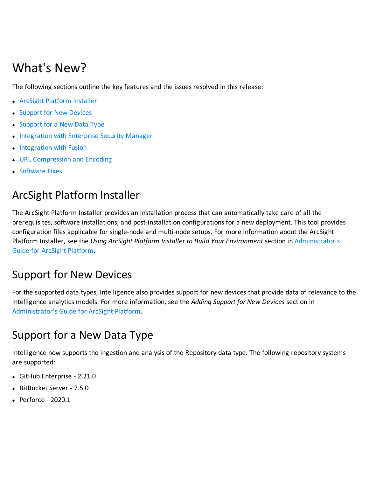## <span id="page-7-0"></span>What's New?

The following sections outline the key features and the issues resolved in this release:

- ArcSight [Platform](#page-7-1) Installer
- **.** [Support](#page-7-2) for New Devices
- [Support](#page-7-3) for a New Data Type
- [Integration](#page-8-0) with Enterprise Security Manager
- [Integration](#page-8-1) with Fusion
- URL [Compression](#page-8-2) and Encoding
- <span id="page-7-1"></span>• [Software](#page-8-3) Fixes

#### ArcSight Platform Installer

The ArcSight Platform Installer provides an installation process that can automatically take care of all the prerequisites, software installations, and post-installation configurations for a new deployment. This tool provides configuration files applicable for single-node and multi-node setups. For more information about the ArcSight Platform Installer, see the *Using ArcSight Platform Installer to Build Your Environment* section in [Administrator's](https://www.microfocus.com/documentation/arcsight/arcsight-platform-20.11/as_platform_admin_guide/) Guide for ArcSight [Platform](https://www.microfocus.com/documentation/arcsight/arcsight-platform-20.11/as_platform_admin_guide/).

#### <span id="page-7-2"></span>Support for New Devices

For the supported data types, Intelligence also provides support for new devices that provide data of relevance to the Intelligence analytics models. For more information, see the *Adding Support for New Devices* section in [Administrator's](https://www.microfocus.com/documentation/arcsight/arcsight-platform-20.11/as_platform_admin_guide/) Guide for ArcSight Platform.

#### <span id="page-7-3"></span>Support for a New Data Type

Intelligence now supports the ingestion and analysis of the Repository data type. The following repository systems are supported:

- GitHub Enterprise 2.21.0
- BitBucket Server 7.5.0
- $\bullet$  Perforce 2020.1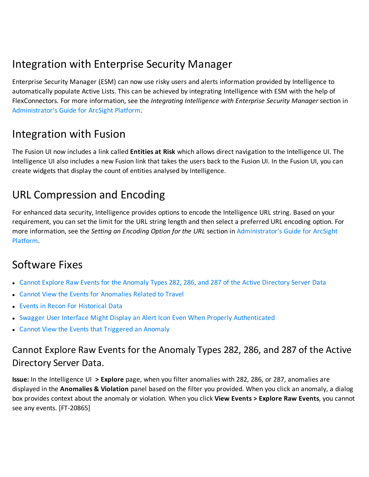#### <span id="page-8-0"></span>Integration with Enterprise Security Manager

Enterprise Security Manager (ESM) can now use risky users and alerts information provided by Intelligence to automatically populate Active Lists. This can be achieved by integrating Intelligence with ESM with the help of FlexConnectors. For more information, see the *Integrating Intelligence with Enterprise Security Manager* section in [Administrator's](https://www.microfocus.com/documentation/arcsight/arcsight-platform-20.11/as_platform_admin_guide/) Guide for ArcSight Platform.

#### <span id="page-8-1"></span>Integration with Fusion

The Fusion UI now includes a link called **Entities at Risk** which allows direct navigation to the Intelligence UI. The Intelligence UI also includes a new Fusion link that takes the users back to the Fusion UI. In the Fusion UI, you can create widgets that display the count of entities analysed by Intelligence.

#### <span id="page-8-2"></span>URL Compression and Encoding

For enhanced data security, Intelligence provides options to encode the Intelligence URL string. Based on your requirement, you can set the limit for the URL string length and then select a preferred URL encoding option. For more information, see the *Setting an Encoding Option for the URL* section in [Administrator's](https://www.microfocus.com/documentation/arcsight/arcsight-platform-20.11/as_platform_admin_guide/) Guide for ArcSight [Platform](https://www.microfocus.com/documentation/arcsight/arcsight-platform-20.11/as_platform_admin_guide/).

#### <span id="page-8-3"></span>Software Fixes

- Cannot Explore Raw Events for the Anomaly Types 282, 286, and 287 of the Active [Directory](#page-8-4) Server Data
- Cannot View the Events for [Anomalies](#page-9-0) Related to Travel
- **.** Events in Recon For [Historical](#page-9-1) Data
- Swagger User Interface Might Display an Alert Icon Even When Properly [Authenticated](#page-9-2)
- <span id="page-8-4"></span>• Cannot View the Events that [Triggered](#page-10-0) an Anomaly

#### Cannot Explore Raw Events for the Anomaly Types 282, 286, and 287 of the Active Directory Server Data.

**Issue:** In the Intelligence UI **> Explore** page, when you filter anomalies with 282, 286, or 287, anomalies are displayed in the **Anomalies & Violation** panel based on the filter you provided. When you click an anomaly, a dialog box provides context about the anomaly or violation. When you click **View Events > Explore Raw Events**, you cannot see any events. [FT-20865]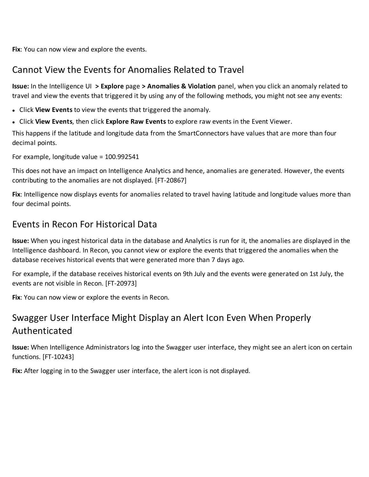<span id="page-9-0"></span>**Fix**: You can now view and explore the events.

#### Cannot View the Events for Anomalies Related to Travel

**Issue:** In the Intelligence UI **> Explore** page **> Anomalies & Violation** panel, when you click an anomaly related to travel and view the events that triggered it by using any of the following methods, you might not see any events:

- **.** Click **View Events** to view the events that triggered the anomaly.
- <sup>l</sup> Click **View Events**, then click **Explore Raw Events** to explore raw events in the Event Viewer.

This happens if the latitude and longitude data from the SmartConnectors have values that are more than four decimal points.

For example, longitude value = 100.992541

This does not have an impact on Intelligence Analytics and hence, anomalies are generated. However, the events contributing to the anomalies are not displayed. [FT-20867]

**Fix**: Intelligence now displays events for anomalies related to travel having latitude and longitude values more than four decimal points.

#### <span id="page-9-1"></span>Events in Recon For Historical Data

**Issue:** When you ingest historical data in the database and Analytics is run for it, the anomalies are displayed in the Intelligence dashboard. In Recon, you cannot view or explore the events that triggered the anomalies when the database receives historical events that were generated more than 7 days ago.

For example, if the database receives historical events on 9th July and the events were generated on 1st July, the events are not visible in Recon. [FT-20973]

<span id="page-9-2"></span>**Fix**: You can now view or explore the events in Recon.

#### Swagger User Interface Might Display an Alert Icon Even When Properly Authenticated

**Issue:** When Intelligence Administrators log into the Swagger user interface, they might see an alert icon on certain functions. [FT-10243]

**Fix:** After logging in to the Swagger user interface, the alert icon is not displayed.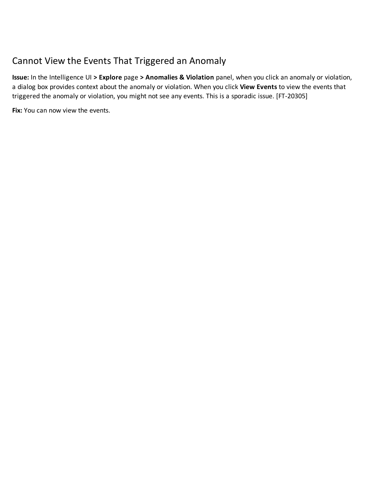#### <span id="page-10-0"></span>Cannot View the Events That Triggered an Anomaly

**Issue:** In the Intelligence UI **> Explore** page **> Anomalies & Violation** panel, when you click an anomaly or violation, a dialog box provides context about the anomaly or violation. When you click **View Events** to view the events that triggered the anomaly or violation, you might not see any events. This is a sporadic issue. [FT-20305]

**Fix:** You can now view the events.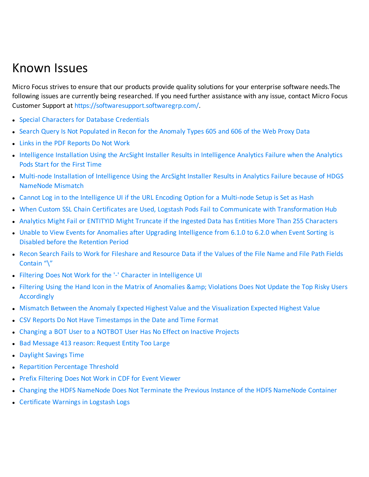## <span id="page-11-0"></span>Known Issues

Micro Focus strives to ensure that our products provide quality solutions for your enterprise software needs.The following issues are currently being researched. If you need further assistance with any issue, contact Micro Focus Customer Support at <https://softwaresupport.softwaregrp.com/>.

- Special Characters for Database [Credentials](#page-12-0)
- Search Query Is Not [Populated](#page-12-1) in Recon for the Anomaly Types 605 and 606 of the Web Proxy Data
- Links in the PDF [Reports](#page-12-2) Do Not Work
- [Intelligence](#page-13-0) Installation Using the ArcSight Installer Results in Intelligence Analytics Failure when the Analytics Pods Start for the First [Time](#page-13-0)
- Multi-node Installation of [Intelligence](#page-13-1) Using the ArcSight Installer Results in Analytics Failure because of HDGS [NameNode](#page-13-1) Mismatch
- Cannot Log in to the [Intelligence](#page-15-0) UI if the URL Encoding Option for a Multi-node Setup is Set as Hash
- When Custom SSL Chain Certificates are Used, Logstash Pods Fail to Communicate with [Transformation](#page-15-1) Hub
- Analytics Might Fail or ENTITYID Might Truncate if the Ingested Data has Entities More Than 255 [Characters](#page-16-0)
- Unable to View Events for Anomalies after Upgrading [Intelligence](#page-17-0) from 6.1.0 to 6.2.0 when Event Sorting is Disabled before the [Retention](#page-17-0) Period
- Recon Search Fails to Work for Fileshare and [Resource](#page-18-0) Data if the Values of the File Name and File Path Fields [Contain](#page-18-0) "\"
- Filtering Does Not Work for the '-' Character in [Intelligence](#page-18-1) UI
- Filtering Using the Hand Icon in the Matrix of [Anomalies](#page-19-0) & amp; Violations Does Not Update the Top Risky Users **[Accordingly](#page-19-0)**
- Mismatch Between the Anomaly Expected Highest Value and the [Visualization](#page-19-1) Expected Highest Value
- CSV Reports Do Not Have [Timestamps](#page-19-2) in the Date and Time Format
- [Changing](#page-20-0) a BOT User to a NOTBOT User Has No Effect on Inactive Projects
- Bad [Message](#page-20-1) 413 reason: Request Entity Too Large
- **.** [Daylight](#page-20-2) Savings Time
- Repartition [Percentage](#page-20-3) Threshold
- Prefix [Filtering](#page-21-0) Does Not Work in CDF for Event Viewer
- Changing the HDFS [NameNode](#page-21-1) Does Not Terminate the Previous Instance of the HDFS NameNode Container
- [Certificate](#page-22-0) Warnings in Logstash Logs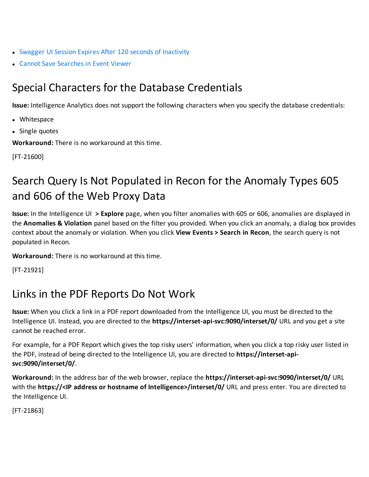- Swagger UI Session Expires After 120 seconds of [Inactivity](#page-22-1)
- <span id="page-12-0"></span>• Cannot Save [Searches](#page-22-2) in Event Viewer

#### Special Characters for the Database Credentials

**Issue:** Intelligence Analytics does not support the following characters when you specify the database credentials:

- Whitespace
- Single quotes

**Workaround:** There is no workaround at this time.

<span id="page-12-1"></span>[FT-21600]

### Search Query Is Not Populated in Recon for the Anomaly Types 605 and 606 of the Web Proxy Data

**Issue:** In the Intelligence UI **> Explore** page, when you filter anomalies with 605 or 606, anomalies are displayed in the **Anomalies & Violation** panel based on the filter you provided. When you click an anomaly, a dialog box provides context about the anomaly or violation. When you click **View Events > Search in Recon**, the search query is not populated in Recon.

**Workaround:** There is no workaround at this time.

<span id="page-12-2"></span>[FT-21921]

#### Links in the PDF Reports Do Not Work

**Issue:** When you click a link in a PDF report downloaded from the Intelligence UI, you must be directed to the Intelligence UI. Instead, you are directed to the **https://interset-api-svc:9090/interset/0/** URL and you get a site cannot be reached error.

For example, for a PDF Report which gives the top risky users' information, when you click a top risky user listed in the PDF, instead of being directed to the Intelligence UI, you are directed to **https://interset-apisvc:9090/interset/0/**.

**Workaround:** In the address bar of the web browser, replace the **https://interset-api-svc:9090/interset/0/** URL with the **https://<IP address or hostname of Intelligence>/interset/0/** URL and press enter. You are directed to the Intelligence UI.

[FT-21863]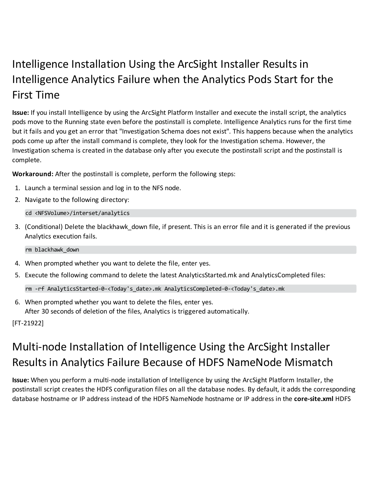### <span id="page-13-0"></span>Intelligence Installation Using the ArcSight Installer Results in Intelligence Analytics Failure when the Analytics Pods Start for the First Time

**Issue:** If you install Intelligence by using the ArcSight Platform Installer and execute the install script, the analytics pods move to the Running state even before the postinstall is complete. Intelligence Analytics runs for the first time but it fails and you get an error that "Investigation Schema does not exist". This happens because when the analytics pods come up after the install command is complete, they look for the Investigation schema. However, the Investigation schema is created in the database only after you execute the postinstall script and the postinstall is complete.

**Workaround:** After the postinstall is complete, perform the following steps:

- 1. Launch a terminal session and log in to the NFS node.
- 2. Navigate to the following directory:

cd <NFSVolume>/interset/analytics

3. (Conditional) Delete the blackhawk down file, if present. This is an error file and it is generated if the previous Analytics execution fails.

rm blackhawk\_down

- 4. When prompted whether you want to delete the file, enter yes.
- 5. Execute the following command to delete the latest AnalyticsStarted.mk and AnalyticsCompleted files:

rm -rf AnalyticsStarted-0-<Today's\_date>.mk AnalyticsCompleted-0-<Today's\_date>.mk

6. When prompted whether you want to delete the files, enter yes. After 30 seconds of deletion of the files, Analytics is triggered automatically.

<span id="page-13-1"></span>[FT-21922]

## Multi-node Installation of Intelligence Using the ArcSight Installer Results in Analytics Failure Because of HDFS NameNode Mismatch

**Issue:** When you perform a multi-node installation of Intelligence by using the ArcSight Platform Installer, the postinstall script creates the HDFS configuration files on all the database nodes. By default, it adds the corresponding database hostname or IP address instead of the HDFS NameNode hostname or IP address in the **core-site.xml** HDFS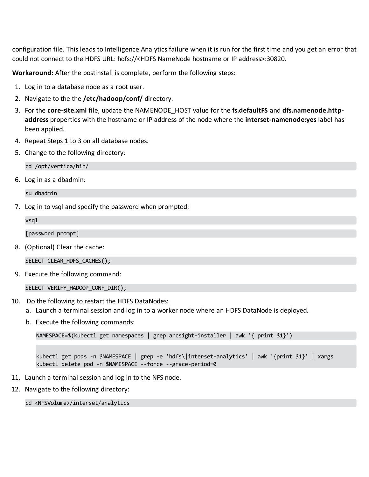configuration file. This leads to Intelligence Analytics failure when it is run for the first time and you get an error that could not connect to the HDFS URL: hdfs://<HDFS NameNode hostname or IP address>:30820.

**Workaround:** After the postinstall is complete, perform the following steps:

- 1. Log in to a database node as a root user.
- 2. Navigate to the the **/etc/hadoop/conf/** directory.
- 3. For the **core-site.xml** file, update the NAMENODE\_HOST value for the **fs.defaultFS** and **dfs.namenode.httpaddress** properties with the hostname or IP address of the node where the **interset-namenode:yes** label has been applied.
- 4. Repeat Steps 1 to 3 on all database nodes.
- 5. Change to the following directory:

cd /opt/vertica/bin/

6. Log in as a dbadmin:

su dbadmin

7. Log in to vsql and specify the password when prompted:

| vsgl                           |
|--------------------------------|
| [password prompt]              |
| 8. (Optional) Clear the cache: |
| SELECT CLEAR_HDFS_CACHES();    |

9. Execute the following command:

SELECT VERIFY\_HADOOP\_CONF\_DIR();

- 10. Do the following to restart the HDFS DataNodes:
	- a. Launch a terminal session and log in to a worker node where an HDFS DataNode is deployed.
	- b. Execute the following commands:

```
NAMESPACE=$(kubectl get namespaces | grep arcsight-installer | awk '{ print $1}')
```
kubectl get pods -n \$NAMESPACE | grep -e 'hdfs\|interset-analytics' | awk '{print \$1}' | xargs kubectl delete pod -n \$NAMESPACE --force --grace-period=0

- 11. Launch a terminal session and log in to the NFS node.
- 12. Navigate to the following directory:

cd <NFSVolume>/interset/analytics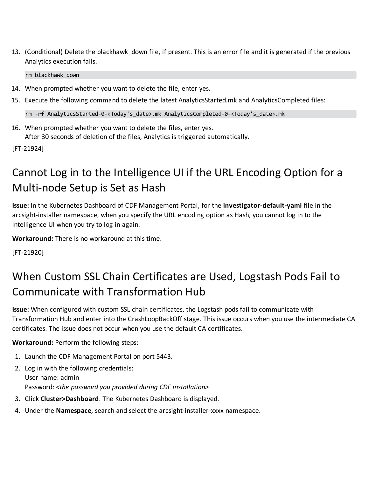13. (Conditional) Delete the blackhawk down file, if present. This is an error file and it is generated if the previous Analytics execution fails.

rm blackhawk\_down

- 14. When prompted whether you want to delete the file, enter yes.
- 15. Execute the following command to delete the latest AnalyticsStarted.mk and AnalyticsCompleted files:

rm -rf AnalyticsStarted-0-<Today's\_date>.mk AnalyticsCompleted-0-<Today's\_date>.mk

16. When prompted whether you want to delete the files, enter yes. After 30 seconds of deletion of the files, Analytics is triggered automatically.

<span id="page-15-0"></span>[FT-21924]

### Cannot Log in to the Intelligence UI if the URL Encoding Option for a Multi-node Setup is Set as Hash

**Issue:** In the Kubernetes Dashboard of CDF Management Portal, for the **investigator-default-yaml** file in the arcsight-installer namespace, when you specify the URL encoding option as Hash, you cannot log in to the Intelligence UI when you try to log in again.

**Workaround:** There is no workaround at this time.

<span id="page-15-1"></span>[FT-21920]

### When Custom SSL Chain Certificates are Used, Logstash Pods Fail to Communicate with Transformation Hub

**Issue:** When configured with custom SSL chain certificates, the Logstash pods fail to communicate with Transformation Hub and enter into the CrashLoopBackOff stage. This issue occurs when you use the intermediate CA certificates. The issue does not occur when you use the default CA certificates.

**Workaround:** Perform the following steps:

- 1. Launch the CDF Management Portal on port 5443.
- 2. Log in with the following credentials: User name: admin Password: *<the password you provided during CDF installation>*
- 3. Click **Cluster>Dashboard**. The Kubernetes Dashboard is displayed.
- 4. Under the **Namespace**, search and select the arcsight-installer-xxxx namespace.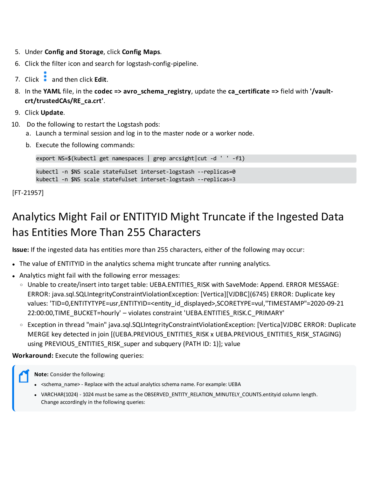- 5. Under **Config and Storage**, click **Config Maps**.
- 6. Click the filter icon and search for logstash-config-pipeline.
- 7. Click **and then click Edit.**
- 8. In the **YAML** file, in the **codec => avro\_schema\_registry**, update the **ca\_certificate =>** field with **'/vaultcrt/trustedCAs/RE\_ca.crt'**.
- 9. Click **Update**.
- 10. Do the following to restart the Logstash pods:
	- a. Launch a terminal session and log in to the master node or a worker node.
	- b. Execute the following commands:

export NS=\$(kubectl get namespaces | grep arcsight|cut -d ' ' -f1)

kubectl -n \$NS scale statefulset interset-logstash --replicas=0

kubectl -n \$NS scale statefulset interset-logstash --replicas=3

<span id="page-16-0"></span>[FT-21957]

### Analytics Might Fail or ENTITYID Might Truncate if the Ingested Data has Entities More Than 255 Characters

**Issue:** If the ingested data has entities more than 255 characters, either of the following may occur:

- The value of ENTITYID in the analytics schema might truncate after running analytics.
- Analytics might fail with the following error messages:
	- o Unable to create/insert into target table: UEBA.ENTITIES RISK with SaveMode: Append. ERROR MESSAGE: ERROR: java.sql.SQLIntegrityConstraintViolationException: [Vertica][VJDBC](6745) ERROR: Duplicate key values: 'TID=0,ENTITYTYPE=usr,ENTITYID=<entity\_id\_displayed>,SCORETYPE=vul,"TIMESTAMP"=2020-09-21 22:00:00,TIME\_BUCKET=hourly' – violates constraint 'UEBA.ENTITIES\_RISK.C\_PRIMARY'
	- <sup>o</sup> Exception in thread "main" java.sql.SQLIntegrityConstraintViolationException: [Vertica]VJDBC ERROR: Duplicate MERGE key detected in join [(UEBA.PREVIOUS\_ENTITIES\_RISK x UEBA.PREVIOUS\_ENTITIES\_RISK\_STAGING) using PREVIOUS ENTITIES RISK super and subquery (PATH ID: 1)]; value

**Workaround:** Execute the following queries:

**Note:** Consider the following:

- <schema\_name> Replace with the actual analytics schema name. For example: UEBA
- . VARCHAR(1024) 1024 must be same as the OBSERVED\_ENTITY\_RELATION\_MINUTELY\_COUNTS.entityid column length. Change accordingly in the following queries: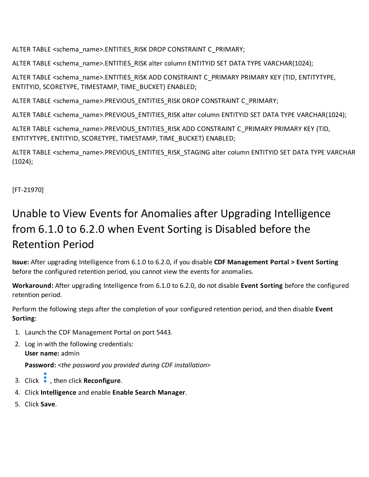ALTER TABLE <schema\_name>.ENTITIES\_RISK DROP CONSTRAINT C\_PRIMARY;

ALTER TABLE <schema\_name>.ENTITIES\_RISK alter column ENTITYID SET DATA TYPE VARCHAR(1024);

ALTER TABLE <schema\_name>.ENTITIES\_RISK ADD CONSTRAINT C\_PRIMARY PRIMARY KEY (TID, ENTITYTYPE, ENTITYID, SCORETYPE, TIMESTAMP, TIME\_BUCKET) ENABLED;

ALTER TABLE <schema\_name>.PREVIOUS\_ENTITIES\_RISK DROP CONSTRAINT C\_PRIMARY;

ALTER TABLE <schema\_name>.PREVIOUS\_ENTITIES\_RISK alter column ENTITYID SET DATA TYPE VARCHAR(1024);

ALTER TABLE <schema\_name>.PREVIOUS\_ENTITIES\_RISK ADD CONSTRAINT C\_PRIMARY PRIMARY KEY (TID, ENTITYTYPE, ENTITYID, SCORETYPE, TIMESTAMP, TIME\_BUCKET) ENABLED;

ALTER TABLE <schema\_name>.PREVIOUS\_ENTITIES\_RISK\_STAGING alter column ENTITYID SET DATA TYPE VARCHAR (1024);

<span id="page-17-0"></span>[FT-21970]

### Unable to View Events for Anomalies after Upgrading Intelligence from 6.1.0 to 6.2.0 when Event Sorting is Disabled before the Retention Period

**Issue:** After upgrading Intelligence from 6.1.0 to 6.2.0, if you disable **CDF Management Portal > Event Sorting** before the configured retention period, you cannot view the events for anomalies.

**Workaround:** After upgrading Intelligence from 6.1.0 to 6.2.0, do not disable **Event Sorting** before the configured retention period.

Perform the following steps after the completion of your configured retention period, and then disable **Event Sorting**:

- 1. Launch the CDF Management Portal on port 5443.
- 2. Log in with the following credentials: **User name:** admin

**Password:** <*the password you provided during CDF installation*>

- 3. Click , then click **Reconfigure**.
- 4. Click **Intelligence** and enable **Enable Search Manager**.
- 5. Click **Save**.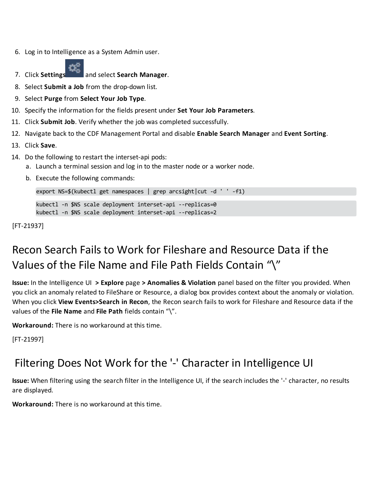6. Log in to Intelligence as a System Admin user.



7. Click **Settings** and select **Search Manager**.

- 8. Select **Submit a Job** from the drop-down list.
- 9. Select **Purge** from **Select Your Job Type**.
- 10. Specify the information for the fields present under **Set Your Job Parameters**.
- 11. Click **Submit Job**. Verify whether the job was completed successfully.
- 12. Navigate back to the CDF Management Portal and disable **Enable Search Manager** and **Event Sorting**.
- 13. Click **Save**.
- 14. Do the following to restart the interset-api pods:
	- a. Launch a terminal session and log in to the master node or a worker node.
	- b. Execute the following commands:

export NS=\$(kubectl get namespaces | grep arcsight|cut -d ' ' -f1)

kubectl -n \$NS scale deployment interset-api --replicas=0 kubectl -n \$NS scale deployment interset-api --replicas=2

<span id="page-18-0"></span>[FT-21937]

## Recon Search Fails to Work for Fileshare and Resource Data if the Values of the File Name and File Path Fields Contain "\"

**Issue:** In the Intelligence UI **> Explore** page **> Anomalies & Violation** panel based on the filter you provided. When you click an anomaly related to FileShare or Resource, a dialog box provides context about the anomaly or violation. When you click **View Events>Search in Recon**, the Recon search fails to work for Fileshare and Resource data if the values of the **File Name** and **File Path** fields contain "\".

**Workaround:** There is no workaround at this time.

<span id="page-18-1"></span>[FT-21997]

#### Filtering Does Not Work for the '-' Character in Intelligence UI

**Issue:** When filtering using the search filter in the Intelligence UI, if the search includes the '-' character, no results are displayed.

**Workaround:** There is no workaround at this time.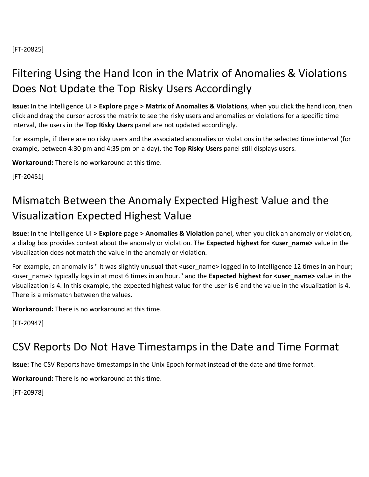<span id="page-19-0"></span>[FT-20825]

### Filtering Using the Hand Icon in the Matrix of Anomalies & Violations Does Not Update the Top Risky Users Accordingly

**Issue:** In the Intelligence UI **> Explore** page **> Matrix of Anomalies & Violations**, when you click the hand icon, then click and drag the cursor across the matrix to see the risky users and anomalies or violations for a specific time interval, the users in the **Top Risky Users** panel are not updated accordingly.

For example, if there are no risky users and the associated anomalies or violations in the selected time interval (for example, between 4:30 pm and 4:35 pm on a day), the **Top Risky Users** panel still displays users.

**Workaround:** There is no workaround at this time.

<span id="page-19-1"></span>[FT-20451]

### Mismatch Between the Anomaly Expected Highest Value and the Visualization Expected Highest Value

**Issue:** In the Intelligence UI **> Explore** page **> Anomalies & Violation** panel, when you click an anomaly or violation, a dialog box provides context about the anomaly or violation. The **Expected highest for <user\_name>** value in the visualization does not match the value in the anomaly or violation.

For example, an anomaly is "It was slightly unusual that <user name> logged in to Intelligence 12 times in an hour; <user\_name> typically logs in at most 6 times in an hour." and the **Expected highest for <user\_name>** value in the visualization is 4. In this example, the expected highest value for the user is 6 and the value in the visualization is 4. There is a mismatch between the values.

**Workaround:** There is no workaround at this time.

<span id="page-19-2"></span>[FT-20947]

#### CSV Reports Do Not Have Timestamps in the Date and Time Format

**Issue:** The CSV Reports have timestamps in the Unix Epoch format instead of the date and time format.

**Workaround:** There is no workaround at this time.

[FT-20978]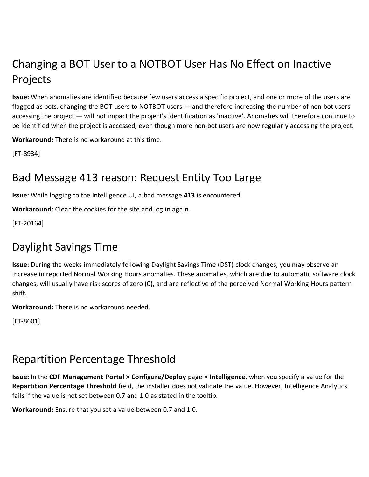## <span id="page-20-0"></span>Changing a BOT User to a NOTBOT User Has No Effect on Inactive Projects

**Issue:** When anomalies are identified because few users access a specific project, and one or more of the users are flagged as bots, changing the BOT users to NOTBOT users — and therefore increasing the number of non-bot users accessing the project — will not impact the project's identification as 'inactive'. Anomalies will therefore continue to be identified when the project is accessed, even though more non-bot users are now regularly accessing the project.

**Workaround:** There is no workaround at this time.

<span id="page-20-1"></span>[FT-8934]

#### Bad Message 413 reason: Request Entity Too Large

**Issue:** While logging to the Intelligence UI, a bad message **413** is encountered.

**Workaround:** Clear the cookies for the site and log in again.

<span id="page-20-2"></span>[FT-20164]

#### Daylight Savings Time

**Issue:** During the weeks immediately following Daylight Savings Time (DST) clock changes, you may observe an increase in reported Normal Working Hours anomalies. These anomalies, which are due to automatic software clock changes, will usually have risk scores of zero (0), and are reflective of the perceived Normal Working Hours pattern shift.

**Workaround:** There is no workaround needed.

[FT-8601]

#### <span id="page-20-3"></span>Repartition Percentage Threshold

**Issue:** In the **CDF Management Portal > Configure/Deploy** page **> Intelligence**, when you specify a value for the **Repartition Percentage Threshold** field, the installer does not validate the value. However, Intelligence Analytics fails if the value is not set between 0.7 and 1.0 as stated in the tooltip.

**Workaround:** Ensure that you set a value between 0.7 and 1.0.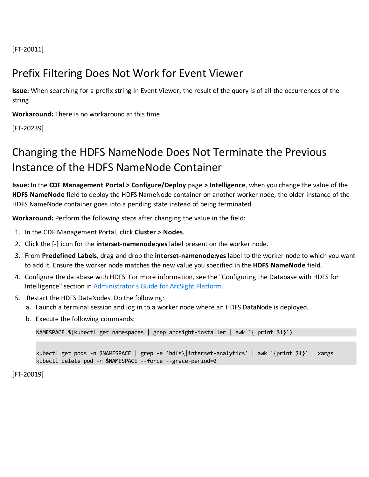<span id="page-21-0"></span>[FT-20011]

#### Prefix Filtering Does Not Work for Event Viewer

**Issue:** When searching for a prefix string in Event Viewer, the result of the query is of all the occurrences of the string.

**Workaround:** There is no workaround at this time.

<span id="page-21-1"></span>[FT-20239]

### Changing the HDFS NameNode Does Not Terminate the Previous Instance of the HDFS NameNode Container

**Issue:** In the **CDF Management Portal > Configure/Deploy** page **> Intelligence**, when you change the value of the **HDFS NameNode** field to deploy the HDFS NameNode container on another worker node, the older instance of the HDFS NameNode container goes into a pending state instead of being terminated.

**Workaround:** Perform the following steps after changing the value in the field:

- 1. In the CDF Management Portal, click **Cluster > Nodes**.
- 2. Click the [-] icon for the **interset-namenode:yes** label present on the worker node.
- 3. From **Predefined Labels**, drag and drop the **interset-namenode:yes** label to the worker node to which you want to add it. Ensure the worker node matches the new value you specified in the **HDFS NameNode** field.
- 4. Configure the database with HDFS. For more information, see the "Configuring the Database with HDFS for Intelligence" section in [Administrator's](https://www.microfocus.com/documentation/arcsight/arcsight-platform-20.11/as_platform_admin_guide/) Guide for ArcSight Platform.
- 5. Restart the HDFS DataNodes. Do the following:
	- a. Launch a terminal session and log in to a worker node where an HDFS DataNode is deployed.
	- b. Execute the following commands:

NAMESPACE=\$(kubectl get namespaces | grep arcsight-installer | awk '{ print \$1}')

kubectl get pods -n \$NAMESPACE | grep -e 'hdfs\|interset-analytics' | awk '{print \$1}' | xargs kubectl delete pod -n \$NAMESPACE --force --grace-period=0

[FT-20019]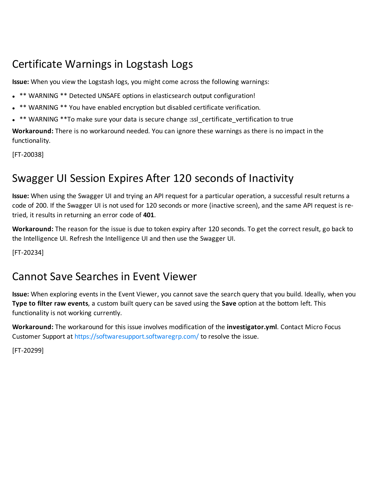### <span id="page-22-0"></span>Certificate Warnings in Logstash Logs

**Issue:** When you view the Logstash logs, you might come across the following warnings:

- . \*\* WARNING \*\* Detected UNSAFE options in elasticsearch output configuration!
- \*\* WARNING \*\* You have enabled encryption but disabled certificate verification.
- \*\* WARNING \*\* To make sure your data is secure change :ssl certificate vertification to true

**Workaround:** There is no workaround needed. You can ignore these warnings as there is no impact in the functionality.

<span id="page-22-1"></span>[FT-20038]

#### Swagger UI Session Expires After 120 seconds of Inactivity

**Issue:** When using the Swagger UI and trying an API request for a particular operation, a successful result returns a code of 200. If the Swagger UI is not used for 120 seconds or more (inactive screen), and the same API request is retried, it results in returning an error code of **401**.

**Workaround:** The reason for the issue is due to token expiry after 120 seconds. To get the correct result, go back to the Intelligence UI. Refresh the Intelligence UI and then use the Swagger UI.

<span id="page-22-2"></span>[FT-20234]

#### Cannot Save Searches in Event Viewer

**Issue:** When exploring events in the Event Viewer, you cannot save the search query that you build. Ideally, when you **Type to filter raw events**, a custom built query can be saved using the **Save** option at the bottom left. This functionality is not working currently.

**Workaround:** The workaround for this issue involves modification of the **investigator.yml**. Contact Micro Focus Customer Support at <https://softwaresupport.softwaregrp.com/> to resolve the issue.

[FT-20299]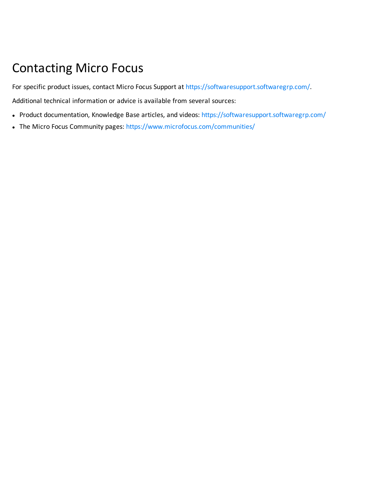## <span id="page-23-0"></span>Contacting Micro Focus

For specific product issues, contact Micro Focus Support at <https://softwaresupport.softwaregrp.com/>.

Additional technical information or advice is available from several sources:

- Product documentation, Knowledge Base articles, and videos: <https://softwaresupport.softwaregrp.com/>
- The Micro Focus Community pages: <https://www.microfocus.com/communities/>